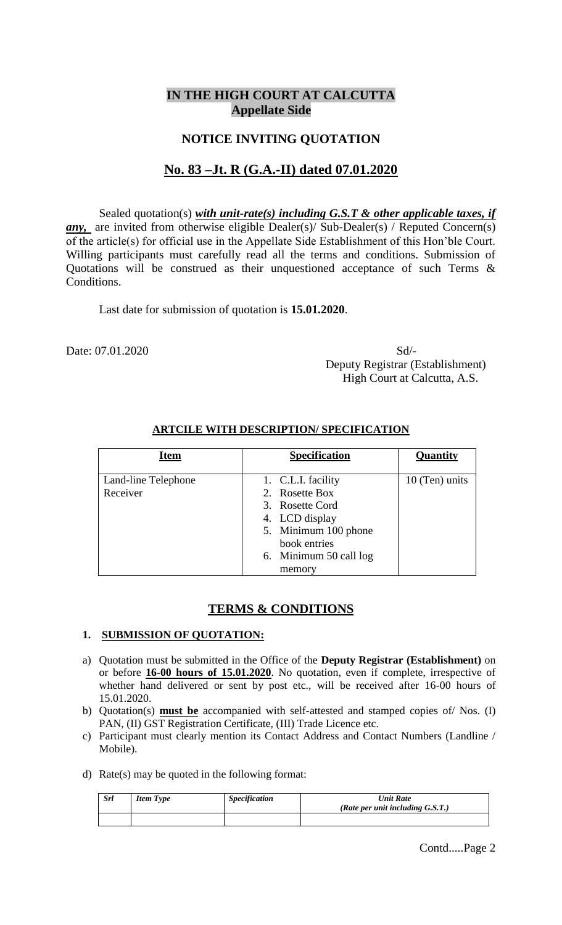## **IN THE HIGH COURT AT CALCUTTA Appellate Side**

## **NOTICE INVITING QUOTATION**

# **No. 83 –Jt. R (G.A.-II) dated 07.01.2020**

Sealed quotation(s) *with unit-rate(s) including G.S.T & other applicable taxes, if any*, are invited from otherwise eligible Dealer(s)/ Sub-Dealer(s) / Reputed Concern(s) of the article(s) for official use in the Appellate Side Establishment of this Hon'ble Court. Willing participants must carefully read all the terms and conditions. Submission of Quotations will be construed as their unquestioned acceptance of such Terms & Conditions.

Last date for submission of quotation is **15.01.2020**.

Date: 07.01.2020 Sd/-

 Deputy Registrar (Establishment) High Court at Calcutta, A.S.

| <b>Item</b>         | <b>Specification</b> |                        | Quantity       |
|---------------------|----------------------|------------------------|----------------|
|                     |                      |                        |                |
| Land-line Telephone |                      | 1. C.L.I. facility     | 10 (Ten) units |
| Receiver            |                      | 2. Rosette Box         |                |
|                     |                      | 3. Rosette Cord        |                |
|                     |                      | 4. LCD display         |                |
|                     |                      | 5. Minimum 100 phone   |                |
|                     |                      | book entries           |                |
|                     |                      | 6. Minimum 50 call log |                |
|                     |                      | memory                 |                |

## **ARTCILE WITH DESCRIPTION/ SPECIFICATION**

#### **TERMS & CONDITIONS**

#### **1. SUBMISSION OF QUOTATION:**

- a) Quotation must be submitted in the Office of the **Deputy Registrar (Establishment)** on or before **16-00 hours of 15.01.2020**. No quotation, even if complete, irrespective of whether hand delivered or sent by post etc., will be received after 16-00 hours of 15.01.2020.
- b) Quotation(s) **must be** accompanied with self-attested and stamped copies of/ Nos. (I) PAN, (II) GST Registration Certificate, (III) Trade Licence etc.
- c) Participant must clearly mention its Contact Address and Contact Numbers (Landline / Mobile).
- d) Rate(s) may be quoted in the following format:

| <b>Srl</b> | <b>Item Type</b> | <i><b>Specification</b></i> | Unit Rate<br>(Rate per unit including $G.S.T.$ ) |
|------------|------------------|-----------------------------|--------------------------------------------------|
|            |                  |                             |                                                  |